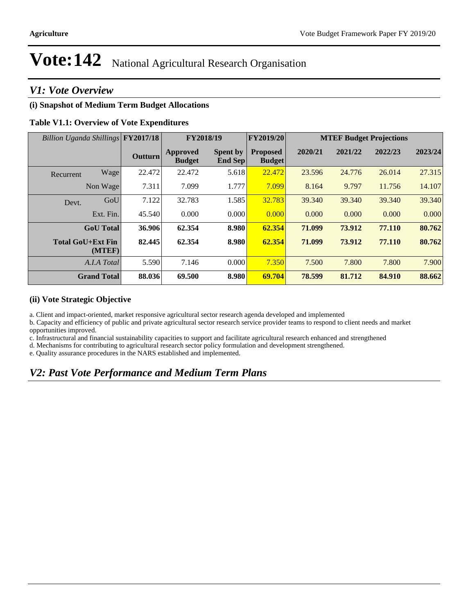### *V1: Vote Overview*

#### **(i) Snapshot of Medium Term Budget Allocations**

#### **Table V1.1: Overview of Vote Expenditures**

| Billion Uganda Shillings FY2017/18 |                |                                  | FY2018/19                         | FY2019/20                        |         |         | <b>MTEF Budget Projections</b> |         |
|------------------------------------|----------------|----------------------------------|-----------------------------------|----------------------------------|---------|---------|--------------------------------|---------|
|                                    | <b>Outturn</b> | <b>Approved</b><br><b>Budget</b> | <b>Spent by</b><br><b>End Sep</b> | <b>Proposed</b><br><b>Budget</b> | 2020/21 | 2021/22 | 2022/23                        | 2023/24 |
| Wage<br>Recurrent                  | 22.472         | 22.472                           | 5.618                             | 22.472                           | 23.596  | 24.776  | 26.014                         | 27.315  |
| Non Wage                           | 7.311          | 7.099                            | 1.777                             | 7.099                            | 8.164   | 9.797   | 11.756                         | 14.107  |
| GoU<br>Devt.                       | 7.122          | 32.783                           | 1.585                             | 32.783                           | 39.340  | 39.340  | 39.340                         | 39.340  |
| Ext. Fin.                          | 45.540         | 0.000                            | 0.000                             | 0.000                            | 0.000   | 0.000   | 0.000                          | 0.000   |
| <b>GoU</b> Total                   | 36.906         | 62.354                           | 8.980                             | 62.354                           | 71.099  | 73.912  | 77.110                         | 80.762  |
| <b>Total GoU+Ext Fin</b><br>(MTEF) | 82.445         | 62.354                           | 8.980                             | 62.354                           | 71.099  | 73.912  | 77.110                         | 80.762  |
| A.I.A Total                        | 5.590          | 7.146                            | 0.000                             | 7.350                            | 7.500   | 7.800   | 7.800                          | 7.900   |
| <b>Grand Total</b>                 | 88.036         | 69.500                           | 8.980                             | 69.704                           | 78.599  | 81.712  | 84.910                         | 88.662  |

#### **(ii) Vote Strategic Objective**

a. Client and impact-oriented, market responsive agricultural sector research agenda developed and implemented

b. Capacity and efficiency of public and private agricultural sector research service provider teams to respond to client needs and market opportunities improved.

c. Infrastructural and financial sustainability capacities to support and facilitate agricultural research enhanced and strengthened

d. Mechanisms for contributing to agricultural research sector policy formulation and development strengthened.

e. Quality assurance procedures in the NARS established and implemented.

### *V2: Past Vote Performance and Medium Term Plans*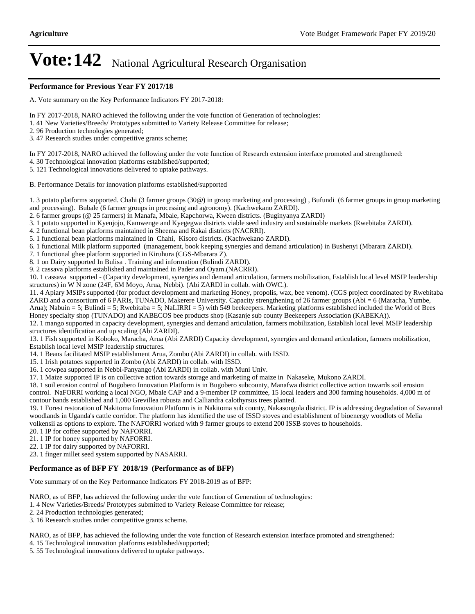#### **Performance for Previous Year FY 2017/18**

A. Vote summary on the Key Performance Indicators FY 2017-2018:

In FY 2017-2018, NARO achieved the following under the vote function of Generation of technologies:

1. 41 New Varieties/Breeds/ Prototypes submitted to Variety Release Committee for release;

2. 96 Production technologies generated;

3. 47 Research studies under competitive grants scheme;

In FY 2017-2018, NARO achieved the following under the vote function of Research extension interface promoted and strengthened:

4. 30 Technological innovation platforms established/supported;

5. 121 Technological innovations delivered to uptake pathways.

B. Performance Details for innovation platforms established/supported

1. 3 potato platforms supported. Chahi (3 farmer groups (30@) in group marketing and processing) , Bufundi (6 farmer groups in group marketing and processing). Bubale (6 farmer groups in processing and agronomy). (Kachwekano ZARDI).

2. 6 farmer groups (@ 25 farmers) in Manafa, Mbale, Kapchorwa, Kween districts. (Buginyanya ZARDI)

3. 1 potato supported in Kyenjojo, Kamwenge and Kyegegwa districts viable seed industry and sustainable markets (Rwebitaba ZARDI).

4. 2 functional bean platforms maintained in Sheema and Rakai districts (NACRRI).

5. 1 functional bean platforms maintained in Chahi, Kisoro districts. (Kachwekano ZARDI).

6. 1 functional Milk platform supported (management, book keeping synergies and demand articulation) in Bushenyi (Mbarara ZARDI).

7. 1 functional ghee platform supported in Kiruhura (CGS-Mbarara Z).

8. 1 on Dairy supported In Bulisa . Training and information (Bulindi ZARDI).

9. 2 cassava platforms established and maintained in Pader and Oyam.(NACRRI).

10. 1 cassava supported - (Capacity development, synergies and demand articulation, farmers mobilization, Establish local level MSIP leadership structures) in W N zone (24F, 6M Moyo, Arua, Nebbi). (Abi ZARDI in collab. with OWC.).

11. 4 Apiary MSIPs supported (for product development and marketing Honey, propolis, wax, bee venom). (CGS project coordinated by Rwebitaba ZARD and a consortium of 6 PARIs, TUNADO, Makerere University. Capacity strengthening of 26 farmer groups (Abi = 6 (Maracha, Yumbe, Arua); Nabuin = 5; Bulindi = 5; Rwebitaba = 5; NaLIRRI = 5) with 549 beekeepers. Marketing platforms established included the World of Bees Honey specialty shop (TUNADO) and KABECOS bee products shop (Kasanje sub county Beekeepers Association (KABEKA)). 12. 1 mango supported in capacity development, synergies and demand articulation, farmers mobilization, Establish local level MSIP leadership structures identification and up scaling (Abi ZARDI).

13. 1 Fish supported in Koboko, Maracha, Arua (Abi ZARDI) Capacity development, synergies and demand articulation, farmers mobilization, Establish local level MSIP leadership structures.

14. 1 Beans facilitated MSIP establishment Arua, Zombo (Abi ZARDI) in collab. with ISSD.

15. 1 Irish potatoes supported in Zombo (Abi ZARDI) in collab. with ISSD.

16. 1 cowpea supported in Nebbi-Panyango (Abi ZARDI) in collab. with Muni Univ.

17. 1 Maize supported IP is on collective action towards storage and marketing of maize in Nakaseke, Mukono ZARDI.

18. 1 soil erosion control of Bugobero Innovation Platform is in Bugobero subcounty, Manafwa district collective action towards soil erosion control. NaFORRI working a local NGO, Mbale CAP and a 9-member IP committee, 15 local leaders and 300 farming households. 4,000 m of contour bands established and 1,000 Grevillea robusta and Calliandra calothyrsus trees planted.

19. 1 Forest restoration of Nakitoma Innovation Platform is in Nakitoma sub county, Nakasongola district. IP is addressing degradation of Savannah woodlands in Uganda's cattle corridor. The platform has identified the use of ISSD stoves and establishment of bioenergy woodlots of Melia volkensii as options to explore. The NAFORRI worked with 9 farmer groups to extend 200 ISSB stoves to households.

20. 1 IP for coffee supported by NAFORRI.

21. 1 IP for honey supported by NAFORRI.

22. 1 IP for dairy supported by NAFORRI.

23. 1 finger millet seed system supported by NASARRI.

#### **Performance as of BFP FY 2018/19 (Performance as of BFP)**

Vote summary of on the Key Performance Indicators FY 2018-2019 as of BFP:

NARO, as of BFP, has achieved the following under the vote function of Generation of technologies:

1. 4 New Varieties/Breeds/ Prototypes submitted to Variety Release Committee for release;

2. 24 Production technologies generated;

3. 16 Research studies under competitive grants scheme.

NARO, as of BFP, has achieved the following under the vote function of Research extension interface promoted and strengthened:

4. 15 Technological innovation platforms established/supported;

5. 55 Technological innovations delivered to uptake pathways.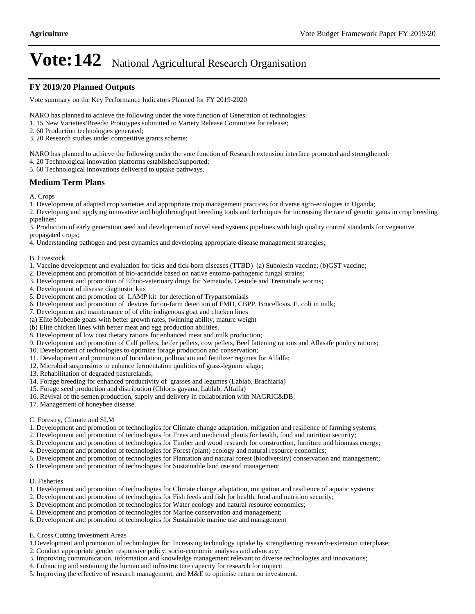#### **FY 2019/20 Planned Outputs**

Vote summary on the Key Performance Indicators Planned for FY 2019-2020

NARO has planned to achieve the following under the vote function of Generation of technologies:

- 1. 15 New Varieties/Breeds/ Prototypes submitted to Variety Release Committee for release;
- 2. 60 Production technologies generated;
- 3. 20 Research studies under competitive grants scheme;

NARO has planned to achieve the following under the vote function of Research extension interface promoted and strengthened:

4. 20 Technological innovation platforms established/supported;

5. 60 Technological innovations delivered to uptake pathways.

#### **Medium Term Plans**

A. Crops

1. Development of adapted crop varieties and appropriate crop management practices for diverse agro-ecologies in Uganda;

2. Developing and applying innovative and high throughput breeding tools and techniques for increasing the rate of genetic gains in crop breeding pipelines;

3. Production of early generation seed and development of novel seed systems pipelines with high quality control standards for vegetative propagated crops;

4. Understanding pathogen and pest dynamics and developing appropriate disease management strategies;

#### B. Livestock

1. Vaccine development and evaluation for ticks and tick-born diseases (TTBD) (a) Subolesin vaccine; (b)GST vaccine;

- 2. Development and promotion of bio-acaricide based on native entomo-pathogenic fungal strains;
- 3. Development and promotion of Ethno-veterinary drugs for Nematode, Cestode and Trematode worms;
- 4. Development of disease diagnostic kits

5. Development and promotion of LAMP kit for detection of Trypansomiasis

6. Development and promotion of devices for on-farm detection of FMD, CBPP, Brucellosis, E. coli in milk;

7. Development and maintenance of of elite indigenous goat and chicken lines

(a) Elite Mubende goats with better growth rates, twinning ability, mature weight

(b) Elite chicken lines with better meat and egg production abilities.

8. Development of low cost dietary rations for enhanced meat and milk production;

9. Development and promotion of Calf pellets, heifer pellets, cow pellets, Beef fattening rations and Aflasafe poultry rations;

10. Development of technologies to optimize forage production and conservation;

11. Development and promotion of Inoculation, pollination and fertilizer regimes for Alfalfa;

- 12. Microbial suspensions to enhance fermentation qualities of grass-legume silage;
- 13. Rehabilitation of degraded pasturelands;
- 14. Forage breeding for enhanced productivity of grasses and legumes (Lablab, Brachiaria)
- 15. Forage seed production and distribution (Chloris gayana, Lablab, Alfalfa)
- 16. Revival of the semen production, supply and delivery in collaboration with NAGRIC&DB;
- 17. Management of honeybee disease.
- C. Forestry, Climate and SLM
- 1. Development and promotion of technologies for Climate change adaptation, mitigation and resilience of farming systems;
- 2. Development and promotion of technologies for Trees and medicinal plants for health, food and nutrition security;
- 3. Development and promotion of technologies for Timber and wood research for construction, furniture and biomass energy;

4. Development and promotion of technologies for Forest (plant) ecology and natural resource economics;

- 5. Development and promotion of technologies for Plantation and natural forest (biodiversity) conservation and management;
- 6. Development and promotion of technologies for Sustainable land use and management

#### D. Fisheries

- 1. Development and promotion of technologies for Climate change adaptation, mitigation and resilience of aquatic systems;
- 2. Development and promotion of technologies for Fish feeds and fish for health, food and nutrition security;
- 3. Development and promotion of technologies for Water ecology and natural resource economics;
- 4. Development and promotion of technologies for Marine conservation and management;
- 6. Development and promotion of technologies for Sustainable marine use and management

E. Cross Cutting Investment Areas

- 1.Development and promotion of technologies for Increasing technology uptake by strengthening research-extension interphase;
- 2. Conduct appropriate gender responsive policy, socio-economic analyses and advocacy;
- 3. Improving communication, information and knowledge management relevant to diverse technologies and innovations;
- 4. Enhancing and sustaining the human and infrastructure capacity for research for impact;
- 5. Improving the effective of research management, and M&E to optimise return on investment.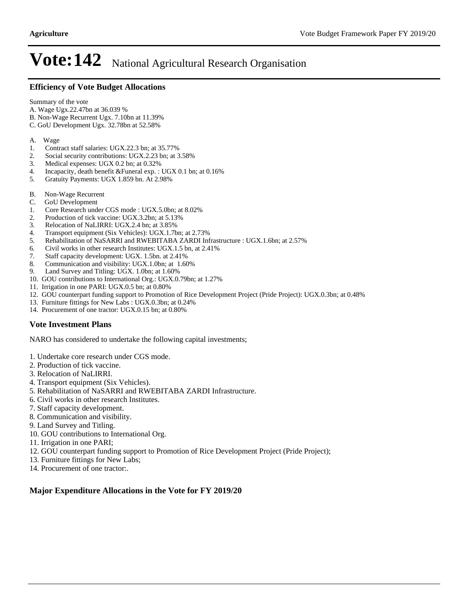#### **Efficiency of Vote Budget Allocations**

Summary of the vote

- A. Wage Ugx.22.47bn at 36.039 %
- B. Non-Wage Recurrent Ugx. 7.10bn at 11.39%
- C. GoU Development Ugx. 32.78bn at 52.58%
- A. Wage
- 1. Contract staff salaries: UGX.22.3 bn; at 35.77%
- 2. Social security contributions: UGX.2.23 bn; at 3.58%
- 3. Medical expenses: UGX 0.2 bn; at 0.32%
- 4. Incapacity, death benefit &Funeral exp. : UGX 0.1 bn; at 0.16%
- 5. Gratuity Payments: UGX 1.859 bn. At 2.98%
- B. Non-Wage Recurrent
- C. GoU Development
- 1. Core Research under CGS mode : UGX.5.0bn; at 8.02%<br>2. Production of tick vaccine: UGX.3.2bn; at 5.13%
- 2. Production of tick vaccine: UGX.3.2bn; at 5.13%<br>3. Relocation of NaLIRRI: UGX.2.4 bn; at 3.85%
- 3. Relocation of NaLIRRI: UGX.2.4 bn; at 3.85%
- 4. Transport equipment (Six Vehicles): UGX.1.7bn; at 2.73%
- 5. Rehabilitation of NaSARRI and RWEBITABA ZARDI Infrastructure : UGX.1.6bn; at 2.57%
- 6. Civil works in other research Institutes: UGX.1.5 bn, at 2.41%
- 7. Staff capacity development: UGX. 1.5bn. at 2.41%
- 8. Communication and visibility: UGX.1.0bn; at 1.60%
- 9. Land Survey and Titling: UGX. 1.0bn; at 1.60%
- 10. GOU contributions to International Org.: UGX.0.79bn; at 1.27%
- 11. Irrigation in one PARI: UGX.0.5 bn; at 0.80%
- 12. GOU counterpart funding support to Promotion of Rice Development Project (Pride Project): UGX.0.3bn; at 0.48%
- 13. Furniture fittings for New Labs : UGX.0.3bn; at 0.24%
- 14. Procurement of one tractor: UGX.0.15 bn; at 0.80%

#### **Vote Investment Plans**

NARO has considered to undertake the following capital investments;

- 1. Undertake core research under CGS mode.
- 2. Production of tick vaccine.
- 3. Relocation of NaLIRRI.
- 4. Transport equipment (Six Vehicles).
- 5. Rehabilitation of NaSARRI and RWEBITABA ZARDI Infrastructure.
- 6. Civil works in other research Institutes.
- 7. Staff capacity development.
- 8. Communication and visibility.
- 9. Land Survey and Titling.
- 10. GOU contributions to International Org.
- 11. Irrigation in one PARI;
- 12. GOU counterpart funding support to Promotion of Rice Development Project (Pride Project);
- 13. Furniture fittings for New Labs;
- 14. Procurement of one tractor:.

#### **Major Expenditure Allocations in the Vote for FY 2019/20**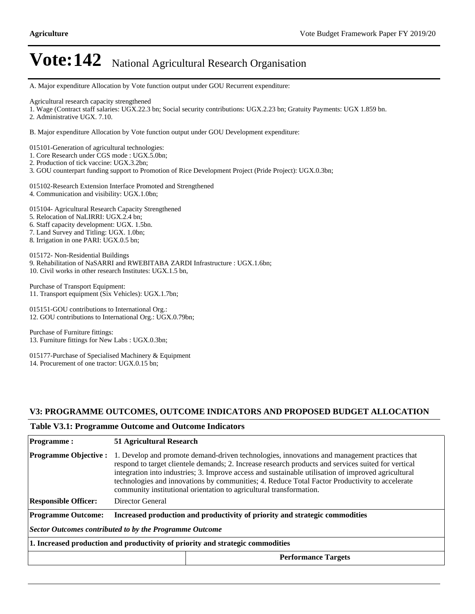A. Major expenditure Allocation by Vote function output under GOU Recurrent expenditure:

Agricultural research capacity strengthened

1. Wage (Contract staff salaries: UGX.22.3 bn; Social security contributions: UGX.2.23 bn; Gratuity Payments: UGX 1.859 bn.

2. Administrative UGX. 7.10.

B. Major expenditure Allocation by Vote function output under GOU Development expenditure:

015101-Generation of agricultural technologies:

- 1. Core Research under CGS mode : UGX.5.0bn;
- 2. Production of tick vaccine: UGX.3.2bn;
- 3. GOU counterpart funding support to Promotion of Rice Development Project (Pride Project): UGX.0.3bn;

015102-Research Extension Interface Promoted and Strengthened 4. Communication and visibility: UGX.1.0bn;

015104- Agricultural Research Capacity Strengthened

- 5. Relocation of NaLIRRI: UGX.2.4 bn;
- 6. Staff capacity development: UGX. 1.5bn.
- 7. Land Survey and Titling: UGX. 1.0bn;
- 8. Irrigation in one PARI: UGX.0.5 bn;

015172- Non-Residential Buildings 9. Rehabilitation of NaSARRI and RWEBITABA ZARDI Infrastructure : UGX.1.6bn; 10. Civil works in other research Institutes: UGX.1.5 bn,

Purchase of Transport Equipment: 11. Transport equipment (Six Vehicles): UGX.1.7bn;

015151-GOU contributions to International Org.: 12. GOU contributions to International Org.: UGX.0.79bn;

Purchase of Furniture fittings: 13. Furniture fittings for New Labs : UGX.0.3bn;

015177-Purchase of Specialised Machinery & Equipment 14. Procurement of one tractor: UGX.0.15 bn;

#### **V3: PROGRAMME OUTCOMES, OUTCOME INDICATORS AND PROPOSED BUDGET ALLOCATION**

#### **Table V3.1: Programme Outcome and Outcome Indicators**

| <b>Programme:</b>                                                              | 51 Agricultural Research                                                                                                                                                                                                                                                                                                                                                                                                                                                            |  |  |  |  |
|--------------------------------------------------------------------------------|-------------------------------------------------------------------------------------------------------------------------------------------------------------------------------------------------------------------------------------------------------------------------------------------------------------------------------------------------------------------------------------------------------------------------------------------------------------------------------------|--|--|--|--|
| <b>Programme Objective:</b>                                                    | 1. Develop and promote demand-driven technologies, innovations and management practices that<br>respond to target clientele demands; 2. Increase research products and services suited for vertical<br>integration into industries; 3. Improve access and sustainable utilisation of improved agricultural<br>technologies and innovations by communities; 4. Reduce Total Factor Productivity to accelerate<br>community institutional orientation to agricultural transformation. |  |  |  |  |
| <b>Responsible Officer:</b>                                                    | Director General                                                                                                                                                                                                                                                                                                                                                                                                                                                                    |  |  |  |  |
| <b>Programme Outcome:</b>                                                      | Increased production and productivity of priority and strategic commodities                                                                                                                                                                                                                                                                                                                                                                                                         |  |  |  |  |
| Sector Outcomes contributed to by the Programme Outcome                        |                                                                                                                                                                                                                                                                                                                                                                                                                                                                                     |  |  |  |  |
| 1. Increased production and productivity of priority and strategic commodities |                                                                                                                                                                                                                                                                                                                                                                                                                                                                                     |  |  |  |  |
|                                                                                | <b>Performance Targets</b>                                                                                                                                                                                                                                                                                                                                                                                                                                                          |  |  |  |  |
|                                                                                |                                                                                                                                                                                                                                                                                                                                                                                                                                                                                     |  |  |  |  |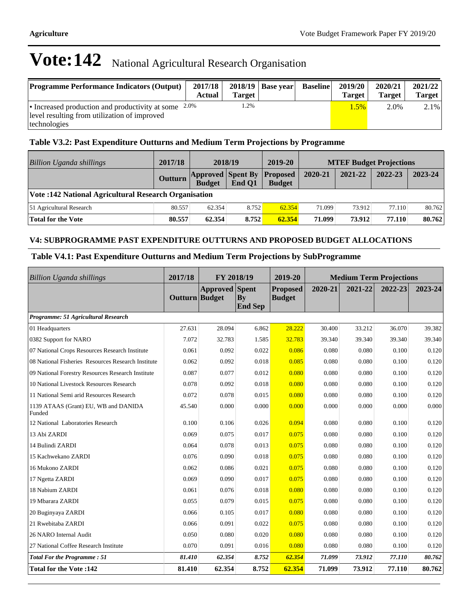| <b>Programme Performance Indicators (Output)</b>                | 2017/18<br>Actual | Target <sub>1</sub> | $2018/19$ Base year | <b>Baseline</b> | 2019/20<br>Target | 2020/21<br><b>Target</b> | 2021/22<br>Target |
|-----------------------------------------------------------------|-------------------|---------------------|---------------------|-----------------|-------------------|--------------------------|-------------------|
| 1.2%<br>• Increased production and productivity at some $2.0\%$ |                   |                     |                     |                 | $1.5\%$           | 2.0%                     | $2.1\%$           |
| level resulting from utilization of improved                    |                   |                     |                     |                 |                   |                          |                   |
| technologies                                                    |                   |                     |                     |                 |                   |                          |                   |

### **Table V3.2: Past Expenditure Outturns and Medium Term Projections by Programme**

| Billion Uganda shillings                              | 2017/18 |                                                    | 2018/19 | 2019-20       |         | <b>MTEF Budget Projections</b> |         |         |
|-------------------------------------------------------|---------|----------------------------------------------------|---------|---------------|---------|--------------------------------|---------|---------|
|                                                       | Outturn | <b>Approved Spent By Proposed</b><br><b>Budget</b> | End O1  | <b>Budget</b> | 2020-21 | 2021-22                        | 2022-23 | 2023-24 |
| Vote: 142 National Agricultural Research Organisation |         |                                                    |         |               |         |                                |         |         |
| 51 Agricultural Research                              | 80.557  | 62.354                                             | 8.752   | 62.354        | 71.099  | 73.912                         | 77.110  | 80.762  |
| <b>Total for the Vote</b>                             | 80.557  | 62.354                                             | 8.752   | 62.354        | 71.099  | 73.912                         | 77.110  | 80.762  |

#### **V4: SUBPROGRAMME PAST EXPENDITURE OUTTURNS AND PROPOSED BUDGET ALLOCATIONS**

### **Table V4.1: Past Expenditure Outturns and Medium Term Projections by SubProgramme**

| <b>Billion Uganda shillings</b>                    | 2017/18        | FY 2018/19      |                                      | 2019-20                          | <b>Medium Term Projections</b> |         |         |         |
|----------------------------------------------------|----------------|-----------------|--------------------------------------|----------------------------------|--------------------------------|---------|---------|---------|
|                                                    | Outturn Budget | <b>Approved</b> | <b>Spent</b><br>Bv<br><b>End Sep</b> | <b>Proposed</b><br><b>Budget</b> | 2020-21                        | 2021-22 | 2022-23 | 2023-24 |
| Programme: 51 Agricultural Research                |                |                 |                                      |                                  |                                |         |         |         |
| 01 Headquarters                                    | 27.631         | 28.094          | 6.862                                | 28.222                           | 30.400                         | 33.212  | 36.070  | 39.382  |
| 0382 Support for NARO                              | 7.072          | 32.783          | 1.585                                | 32.783                           | 39.340                         | 39.340  | 39.340  | 39.340  |
| 07 National Crops Resources Research Institute     | 0.061          | 0.092           | 0.022                                | 0.086                            | 0.080                          | 0.080   | 0.100   | 0.120   |
| 08 National Fisheries Resources Research Institute | 0.062          | 0.092           | 0.018                                | 0.085                            | 0.080                          | 0.080   | 0.100   | 0.120   |
| 09 National Forestry Resources Research Institute  | 0.087          | 0.077           | 0.012                                | 0.080                            | 0.080                          | 0.080   | 0.100   | 0.120   |
| 10 National Livestock Resources Research           | 0.078          | 0.092           | 0.018                                | 0.080                            | 0.080                          | 0.080   | 0.100   | 0.120   |
| 11 National Semi arid Resources Research           | 0.072          | 0.078           | 0.015                                | 0.080                            | 0.080                          | 0.080   | 0.100   | 0.120   |
| 1139 ATAAS (Grant) EU, WB and DANIDA<br>Funded     | 45.540         | 0.000           | 0.000                                | 0.000                            | 0.000                          | 0.000   | 0.000   | 0.000   |
| 12 National Laboratories Research                  | 0.100          | 0.106           | 0.026                                | 0.094                            | 0.080                          | 0.080   | 0.100   | 0.120   |
| 13 Abi ZARDI                                       | 0.069          | 0.075           | 0.017                                | 0.075                            | 0.080                          | 0.080   | 0.100   | 0.120   |
| 14 Bulindi ZARDI                                   | 0.064          | 0.078           | 0.013                                | 0.075                            | 0.080                          | 0.080   | 0.100   | 0.120   |
| 15 Kachwekano ZARDI                                | 0.076          | 0.090           | 0.018                                | 0.075                            | 0.080                          | 0.080   | 0.100   | 0.120   |
| 16 Mukono ZARDI                                    | 0.062          | 0.086           | 0.021                                | 0.075                            | 0.080                          | 0.080   | 0.100   | 0.120   |
| 17 Ngetta ZARDI                                    | 0.069          | 0.090           | 0.017                                | 0.075                            | 0.080                          | 0.080   | 0.100   | 0.120   |
| 18 Nabium ZARDI                                    | 0.061          | 0.076           | 0.018                                | 0.080                            | 0.080                          | 0.080   | 0.100   | 0.120   |
| 19 Mbarara ZARDI                                   | 0.055          | 0.079           | 0.015                                | 0.075                            | 0.080                          | 0.080   | 0.100   | 0.120   |
| 20 Buginyaya ZARDI                                 | 0.066          | 0.105           | 0.017                                | 0.080                            | 0.080                          | 0.080   | 0.100   | 0.120   |
| 21 Rwebitaba ZARDI                                 | 0.066          | 0.091           | 0.022                                | 0.075                            | 0.080                          | 0.080   | 0.100   | 0.120   |
| 26 NARO Internal Audit                             | 0.050          | 0.080           | 0.020                                | 0.080                            | 0.080                          | 0.080   | 0.100   | 0.120   |
| 27 National Coffee Research Institute              | 0.070          | 0.091           | 0.016                                | 0.080                            | 0.080                          | 0.080   | 0.100   | 0.120   |
| <b>Total For the Programme: 51</b>                 | 81.410         | 62.354          | 8.752                                | 62.354                           | 71.099                         | 73.912  | 77.110  | 80.762  |
| <b>Total for the Vote: 142</b>                     | 81.410         | 62.354          | 8.752                                | 62.354                           | 71.099                         | 73.912  | 77.110  | 80.762  |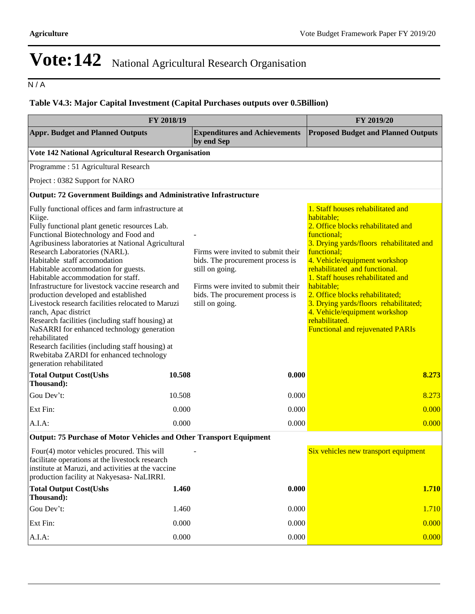$N/A$ 

### **Table V4.3: Major Capital Investment (Capital Purchases outputs over 0.5Billion)**

| FY 2018/19                                                                                                                                                                                                                                                                                                                                                                                                                                                                                                                                                                                                                                                                                                                                                                          | FY 2019/20 |                                                                                                                                                                                        |                                                                                                                                                                                                                                                                                                                                                                                                                                                                |
|-------------------------------------------------------------------------------------------------------------------------------------------------------------------------------------------------------------------------------------------------------------------------------------------------------------------------------------------------------------------------------------------------------------------------------------------------------------------------------------------------------------------------------------------------------------------------------------------------------------------------------------------------------------------------------------------------------------------------------------------------------------------------------------|------------|----------------------------------------------------------------------------------------------------------------------------------------------------------------------------------------|----------------------------------------------------------------------------------------------------------------------------------------------------------------------------------------------------------------------------------------------------------------------------------------------------------------------------------------------------------------------------------------------------------------------------------------------------------------|
| <b>Appr. Budget and Planned Outputs</b>                                                                                                                                                                                                                                                                                                                                                                                                                                                                                                                                                                                                                                                                                                                                             |            | <b>Expenditures and Achievements</b><br>by end Sep                                                                                                                                     | <b>Proposed Budget and Planned Outputs</b>                                                                                                                                                                                                                                                                                                                                                                                                                     |
| Vote 142 National Agricultural Research Organisation                                                                                                                                                                                                                                                                                                                                                                                                                                                                                                                                                                                                                                                                                                                                |            |                                                                                                                                                                                        |                                                                                                                                                                                                                                                                                                                                                                                                                                                                |
| Programme: 51 Agricultural Research                                                                                                                                                                                                                                                                                                                                                                                                                                                                                                                                                                                                                                                                                                                                                 |            |                                                                                                                                                                                        |                                                                                                                                                                                                                                                                                                                                                                                                                                                                |
| Project: 0382 Support for NARO                                                                                                                                                                                                                                                                                                                                                                                                                                                                                                                                                                                                                                                                                                                                                      |            |                                                                                                                                                                                        |                                                                                                                                                                                                                                                                                                                                                                                                                                                                |
| Output: 72 Government Buildings and Administrative Infrastructure                                                                                                                                                                                                                                                                                                                                                                                                                                                                                                                                                                                                                                                                                                                   |            |                                                                                                                                                                                        |                                                                                                                                                                                                                                                                                                                                                                                                                                                                |
| Fully functional offices and farm infrastructure at<br>Kiige.<br>Fully functional plant genetic resources Lab.<br>Functional Biotechnology and Food and<br>Agribusiness laboratories at National Agricultural<br>Research Laboratories (NARL).<br>Habitable staff accomodation<br>Habitable accommodation for guests.<br>Habitable accommodation for staff.<br>Infrastructure for livestock vaccine research and<br>production developed and established<br>Livestock research facilities relocated to Maruzi<br>ranch, Apac district<br>Research facilities (including staff housing) at<br>NaSARRI for enhanced technology generation<br>rehabilitated<br>Research facilities (including staff housing) at<br>Rwebitaba ZARDI for enhanced technology<br>generation rehabilitated |            | Firms were invited to submit their<br>bids. The procurement process is<br>still on going.<br>Firms were invited to submit their<br>bids. The procurement process is<br>still on going. | 1. Staff houses rehabilitated and<br>habitable;<br>2. Office blocks rehabilitated and<br>functional;<br>3. Drying yards/floors rehabilitated and<br>functional;<br>4. Vehicle/equipment workshop<br>rehabilitated and functional.<br>1. Staff houses rehabilitated and<br>habitable;<br>2. Office blocks rehabilitated;<br>3. Drying yards/floors rehabilitated;<br>4. Vehicle/equipment workshop<br>rehabilitated.<br><b>Functional and rejuvenated PARIs</b> |
| <b>Total Output Cost(Ushs</b><br>Thousand):                                                                                                                                                                                                                                                                                                                                                                                                                                                                                                                                                                                                                                                                                                                                         | 10.508     | 0.000                                                                                                                                                                                  | 8.273                                                                                                                                                                                                                                                                                                                                                                                                                                                          |
| Gou Dev't:                                                                                                                                                                                                                                                                                                                                                                                                                                                                                                                                                                                                                                                                                                                                                                          | 10.508     | 0.000                                                                                                                                                                                  | 8.273                                                                                                                                                                                                                                                                                                                                                                                                                                                          |
| Ext Fin:                                                                                                                                                                                                                                                                                                                                                                                                                                                                                                                                                                                                                                                                                                                                                                            | 0.000      | 0.000                                                                                                                                                                                  | 0.000                                                                                                                                                                                                                                                                                                                                                                                                                                                          |
| $A.I.A$ :                                                                                                                                                                                                                                                                                                                                                                                                                                                                                                                                                                                                                                                                                                                                                                           | 0.000      | 0.000                                                                                                                                                                                  | 0.000                                                                                                                                                                                                                                                                                                                                                                                                                                                          |
| Output: 75 Purchase of Motor Vehicles and Other Transport Equipment                                                                                                                                                                                                                                                                                                                                                                                                                                                                                                                                                                                                                                                                                                                 |            |                                                                                                                                                                                        |                                                                                                                                                                                                                                                                                                                                                                                                                                                                |
| Four(4) motor vehicles procured. This will<br>facilitate operations at the livestock research<br>institute at Maruzi, and activities at the vaccine<br>production facility at Nakyesasa- NaLIRRI.                                                                                                                                                                                                                                                                                                                                                                                                                                                                                                                                                                                   |            |                                                                                                                                                                                        | Six vehicles new transport equipment                                                                                                                                                                                                                                                                                                                                                                                                                           |
| <b>Total Output Cost(Ushs</b><br>Thousand):                                                                                                                                                                                                                                                                                                                                                                                                                                                                                                                                                                                                                                                                                                                                         | 1.460      | 0.000                                                                                                                                                                                  | <b>1.710</b>                                                                                                                                                                                                                                                                                                                                                                                                                                                   |
| Gou Dev't:                                                                                                                                                                                                                                                                                                                                                                                                                                                                                                                                                                                                                                                                                                                                                                          | 1.460      | 0.000                                                                                                                                                                                  | 1.710                                                                                                                                                                                                                                                                                                                                                                                                                                                          |
| Ext Fin:                                                                                                                                                                                                                                                                                                                                                                                                                                                                                                                                                                                                                                                                                                                                                                            | 0.000      | 0.000                                                                                                                                                                                  | 0.000                                                                                                                                                                                                                                                                                                                                                                                                                                                          |
| A.I.A.                                                                                                                                                                                                                                                                                                                                                                                                                                                                                                                                                                                                                                                                                                                                                                              | 0.000      | 0.000                                                                                                                                                                                  | 0.000                                                                                                                                                                                                                                                                                                                                                                                                                                                          |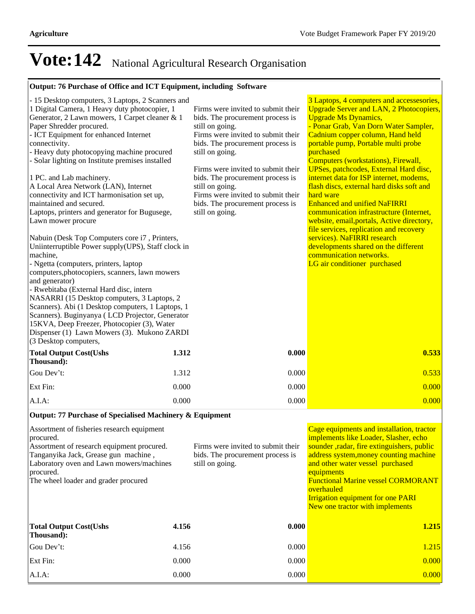### **Output: 76 Purchase of Office and ICT Equipment, including Software**

| - 15 Desktop computers, 3 Laptops, 2 Scanners and<br>1 Digital Camera, 1 Heavy duty photocopier, 1<br>Generator, 2 Lawn mowers, 1 Carpet cleaner & 1<br>Paper Shredder procured.<br>- ICT Equipment for enhanced Internet<br>connectivity.<br>- Heavy duty photocopying machine procured<br>- Solar lighting on Institute premises installed<br>1 PC. and Lab machinery.<br>A Local Area Network (LAN), Internet<br>connectivity and ICT harmonisation set up,<br>maintained and secured.<br>Laptops, printers and generator for Bugusege,<br>Lawn mower procure<br>Nabuin (Desk Top Computers core i7, Printers,<br>Uniinterruptible Power supply(UPS), Staff clock in<br>machine,<br>- Ngetta (computers, printers, laptop<br>computers, photocopiers, scanners, lawn mowers<br>and generator)<br>- Rwebitaba (External Hard disc, intern<br>NASARRI (15 Desktop computers, 3 Laptops, 2<br>Scanners). Abi (1 Desktop computers, 1 Laptops, 1<br>Scanners). Buginyanya (LCD Projector, Generator<br>15KVA, Deep Freezer, Photocopier (3), Water<br>Dispenser (1) Lawn Mowers (3). Mukono ZARDI<br>(3 Desktop computers, | Firms were invited to submit their<br>bids. The procurement process is<br>still on going.<br>Firms were invited to submit their<br>bids. The procurement process is<br>still on going.<br>Firms were invited to submit their<br>bids. The procurement process is<br>still on going.<br>Firms were invited to submit their<br>bids. The procurement process is<br>still on going. | 3 Laptops, 4 computers and accessesories,<br><b>Upgrade Server and LAN, 2 Photocopiers,</b><br><b>Upgrade Ms Dynamics,</b><br>- Ponar Grab, Van Dorn Water Sampler,<br>Cadnium copper column, Hand held<br>portable pump, Portable multi probe<br>purchased<br>Computers (workstations), Firewall,<br><b>UPSes, patchcodes, External Hard disc,</b><br>internet data for ISP internet, modems,<br>flash discs, external hard disks soft and<br>hard ware<br><b>Enhanced and unified NaFIRRI</b><br>communication infrastructure (Internet,<br>website, email, portals, Active directory,<br>file services, replication and recovery<br>services). NaFIRRI research<br>developments shared on the different<br>communication networks.<br>LG air conditioner purchased |  |  |  |  |
|---------------------------------------------------------------------------------------------------------------------------------------------------------------------------------------------------------------------------------------------------------------------------------------------------------------------------------------------------------------------------------------------------------------------------------------------------------------------------------------------------------------------------------------------------------------------------------------------------------------------------------------------------------------------------------------------------------------------------------------------------------------------------------------------------------------------------------------------------------------------------------------------------------------------------------------------------------------------------------------------------------------------------------------------------------------------------------------------------------------------------|----------------------------------------------------------------------------------------------------------------------------------------------------------------------------------------------------------------------------------------------------------------------------------------------------------------------------------------------------------------------------------|-----------------------------------------------------------------------------------------------------------------------------------------------------------------------------------------------------------------------------------------------------------------------------------------------------------------------------------------------------------------------------------------------------------------------------------------------------------------------------------------------------------------------------------------------------------------------------------------------------------------------------------------------------------------------------------------------------------------------------------------------------------------------|--|--|--|--|
| 1.312<br><b>Total Output Cost(Ushs</b><br>Thousand):                                                                                                                                                                                                                                                                                                                                                                                                                                                                                                                                                                                                                                                                                                                                                                                                                                                                                                                                                                                                                                                                      | 0.000                                                                                                                                                                                                                                                                                                                                                                            | 0.533                                                                                                                                                                                                                                                                                                                                                                                                                                                                                                                                                                                                                                                                                                                                                                 |  |  |  |  |
| Gou Dev't:<br>1.312                                                                                                                                                                                                                                                                                                                                                                                                                                                                                                                                                                                                                                                                                                                                                                                                                                                                                                                                                                                                                                                                                                       | 0.000                                                                                                                                                                                                                                                                                                                                                                            | 0.533                                                                                                                                                                                                                                                                                                                                                                                                                                                                                                                                                                                                                                                                                                                                                                 |  |  |  |  |
| Ext Fin:<br>0.000                                                                                                                                                                                                                                                                                                                                                                                                                                                                                                                                                                                                                                                                                                                                                                                                                                                                                                                                                                                                                                                                                                         | 0.000                                                                                                                                                                                                                                                                                                                                                                            | 0.000                                                                                                                                                                                                                                                                                                                                                                                                                                                                                                                                                                                                                                                                                                                                                                 |  |  |  |  |
| 0.000<br>A.I.A:                                                                                                                                                                                                                                                                                                                                                                                                                                                                                                                                                                                                                                                                                                                                                                                                                                                                                                                                                                                                                                                                                                           | 0.000                                                                                                                                                                                                                                                                                                                                                                            | 0.000                                                                                                                                                                                                                                                                                                                                                                                                                                                                                                                                                                                                                                                                                                                                                                 |  |  |  |  |
| Output: 77 Purchase of Specialised Machinery & Equipment                                                                                                                                                                                                                                                                                                                                                                                                                                                                                                                                                                                                                                                                                                                                                                                                                                                                                                                                                                                                                                                                  |                                                                                                                                                                                                                                                                                                                                                                                  |                                                                                                                                                                                                                                                                                                                                                                                                                                                                                                                                                                                                                                                                                                                                                                       |  |  |  |  |

#### **Output: 77 Purchase of Specialised Machinery & Equipment**

| Assortment of fisheries research equipment<br>procured.<br>Assortment of research equipment procured.<br>Tanganyika Jack, Grease gun machine,<br>Laboratory oven and Lawn mowers/machines<br>procured.<br>The wheel loader and grader procured |       | Firms were invited to submit their<br>bids. The procurement process is<br>still on going. | Cage equipments and installation, tractor<br>implements like Loader, Slasher, echo<br>sounder, radar, fire extinguishers, public<br>address system, money counting machine<br>and other water vessel purchased<br>equipments<br><b>Functional Marine vessel CORMORANT</b><br>overhauled<br><b>Irrigation equipment for one PARI</b><br>New one tractor with implements |
|------------------------------------------------------------------------------------------------------------------------------------------------------------------------------------------------------------------------------------------------|-------|-------------------------------------------------------------------------------------------|------------------------------------------------------------------------------------------------------------------------------------------------------------------------------------------------------------------------------------------------------------------------------------------------------------------------------------------------------------------------|
| <b>Total Output Cost(Ushs</b><br>Thousand):                                                                                                                                                                                                    | 4.156 | 0.000                                                                                     | 1.215                                                                                                                                                                                                                                                                                                                                                                  |
| Gou Dev't:                                                                                                                                                                                                                                     | 4.156 | 0.000                                                                                     | 1.215                                                                                                                                                                                                                                                                                                                                                                  |
| Ext Fin:                                                                                                                                                                                                                                       | 0.000 | 0.000                                                                                     | 0.000                                                                                                                                                                                                                                                                                                                                                                  |
| $A.I.A$ :                                                                                                                                                                                                                                      | 0.000 | 0.000                                                                                     | 0.000                                                                                                                                                                                                                                                                                                                                                                  |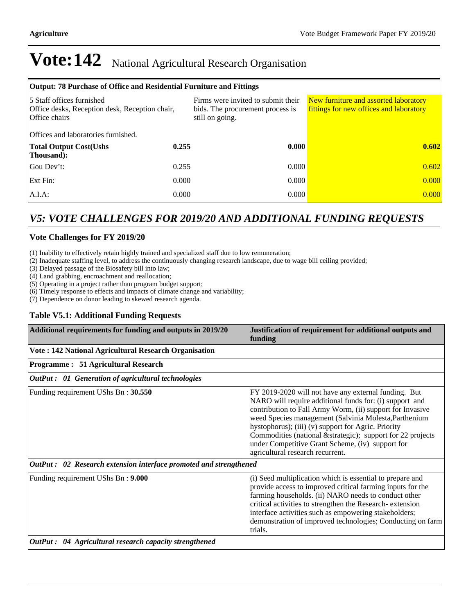| Output: 78 Purchase of Office and Residential Furniture and Fittings                         |       |                                                                                           |                                                                                  |  |  |  |
|----------------------------------------------------------------------------------------------|-------|-------------------------------------------------------------------------------------------|----------------------------------------------------------------------------------|--|--|--|
| 5 Staff offices furnished<br>Office desks, Reception desk, Reception chair,<br>Office chairs |       | Firms were invited to submit their<br>bids. The procurement process is<br>still on going. | New furniture and assorted laboratory<br>fittings for new offices and laboratory |  |  |  |
| Offices and laboratories furnished.                                                          |       |                                                                                           |                                                                                  |  |  |  |
| <b>Total Output Cost(Ushs</b><br>Thousand:                                                   | 0.255 | 0.000                                                                                     | 0.602                                                                            |  |  |  |
| Gou Dev't:                                                                                   | 0.255 | 0.000                                                                                     | 0.602                                                                            |  |  |  |
| Ext Fin:                                                                                     | 0.000 | 0.000                                                                                     | 0.000                                                                            |  |  |  |
| $A.I.A$ :                                                                                    | 0.000 | 0.000                                                                                     | 0.000                                                                            |  |  |  |

### *V5: VOTE CHALLENGES FOR 2019/20 AND ADDITIONAL FUNDING REQUESTS*

#### **Vote Challenges for FY 2019/20**

(1) Inability to effectively retain highly trained and specialized staff due to low remuneration;

(2) Inadequate staffing level, to address the continuously changing research landscape, due to wage bill ceiling provided;

(3) Delayed passage of the Biosafety bill into law;

(4) Land grabbing, encroachment and reallocation;

(5) Operating in a project rather than program budget support;

(6) Timely response to effects and impacts of climate change and variability;

(7) Dependence on donor leading to skewed research agenda.

#### **Table V5.1: Additional Funding Requests**

| Additional requirements for funding and outputs in 2019/20        | Justification of requirement for additional outputs and<br>funding                                                                                                                                                                                                                                                                                                                                                                                  |
|-------------------------------------------------------------------|-----------------------------------------------------------------------------------------------------------------------------------------------------------------------------------------------------------------------------------------------------------------------------------------------------------------------------------------------------------------------------------------------------------------------------------------------------|
| <b>Vote: 142 National Agricultural Research Organisation</b>      |                                                                                                                                                                                                                                                                                                                                                                                                                                                     |
| Programme: 51 Agricultural Research                               |                                                                                                                                                                                                                                                                                                                                                                                                                                                     |
| <b>OutPut :</b> 01 Generation of agricultural technologies        |                                                                                                                                                                                                                                                                                                                                                                                                                                                     |
| Funding requirement UShs Bn: 30.550                               | FY 2019-2020 will not have any external funding. But<br>NARO will require additional funds for: (i) support and<br>contribution to Fall Army Worm, (ii) support for Invasive<br>weed Species management (Salvinia Molesta, Parthenium<br>hystophorus); (iii) (v) support for Agric. Priority<br>Commodities (national & strategic); support for 22 projects<br>under Competitive Grant Scheme, (iv) support for<br>agricultural research recurrent. |
| OutPut: 02 Research extension interface promoted and strengthened |                                                                                                                                                                                                                                                                                                                                                                                                                                                     |
| Funding requirement UShs Bn: 9.000                                | (i) Seed multiplication which is essential to prepare and<br>provide access to improved critical farming inputs for the<br>farming households. (ii) NARO needs to conduct other<br>critical activities to strengthen the Research-extension<br>interface activities such as empowering stakeholders;<br>demonstration of improved technologies; Conducting on farm<br>trials.                                                                       |
| OutPut: 04 Agricultural research capacity strengthened            |                                                                                                                                                                                                                                                                                                                                                                                                                                                     |